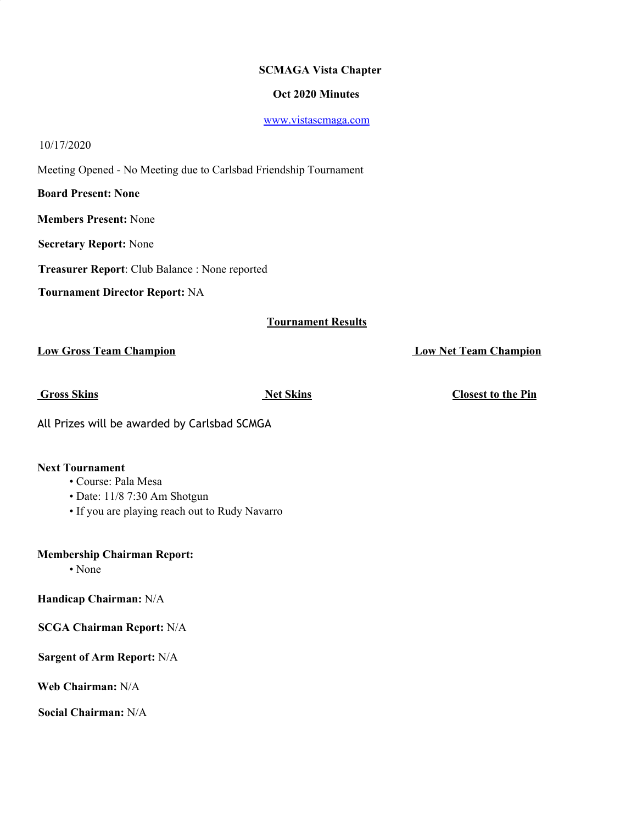# **SCMAGA Vista Chapter**

## **Oct 2020 Minutes**

www.vistascmaga.com

#### 10/17/2020

Meeting Opened - No Meeting due to Carlsbad Friendship Tournament

**Board Present: None**

**Members Present:** None

**Secretary Report:** None

**Treasurer Report**: Club Balance : None reported

**Tournament Director Report:** NA

## **Tournament Results**

**Low Gross Team Champion Low Net Team Champion**

**Gross Skins Net Skins Closest to the Pin**

All Prizes will be awarded by Carlsbad SCMGA

#### **Next Tournament**

## • Course: Pala Mesa

- Date: 11/8 7:30 Am Shotgun
- If you are playing reach out to Rudy Navarro

**Membership Chairman Report:**

• None

**Handicap Chairman:** N/A

**SCGA Chairman Report:** N/A

**Sargent of Arm Report:** N/A

**Web Chairman:** N/A

**Social Chairman:** N/A